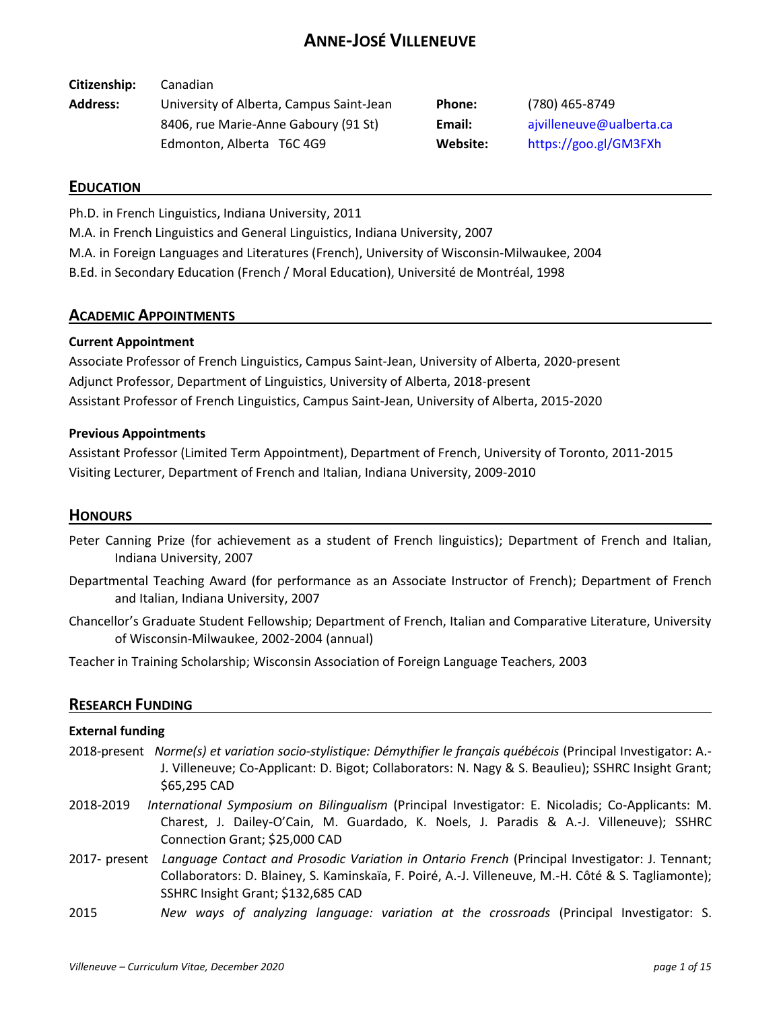# **ANNE-JOSÉ VILLENEUVE**

**Citizenship:** Canadian

**Address:** University of Alberta, Campus Saint-Jean **Phone:** (780) 465-8749 8406, rue Marie-Anne Gaboury (91 St) **Email:** [ajvilleneuve@ualberta.ca](mailto:ajvilleneuve@ualberta.ca) Edmonton, Alberta T6C 4G9 **Website:** <https://goo.gl/GM3FXh>

## **EDUCATION**

Ph.D. in French Linguistics, Indiana University, 2011

M.A. in French Linguistics and General Linguistics, Indiana University, 2007

M.A. in Foreign Languages and Literatures (French), University of Wisconsin-Milwaukee, 2004

B.Ed. in Secondary Education (French / Moral Education), Université de Montréal, 1998

## **ACADEMIC APPOINTMENTS**

## **Current Appointment**

Associate Professor of French Linguistics, Campus Saint-Jean, University of Alberta, 2020-present Adjunct Professor, Department of Linguistics, University of Alberta, 2018-present Assistant Professor of French Linguistics, Campus Saint-Jean, University of Alberta, 2015-2020

## **Previous Appointments**

Assistant Professor (Limited Term Appointment), Department of French, University of Toronto, 2011-2015 Visiting Lecturer, Department of French and Italian, Indiana University, 2009-2010

## **HONOURS**

- Peter Canning Prize (for achievement as a student of French linguistics); Department of French and Italian, Indiana University, 2007
- Departmental Teaching Award (for performance as an Associate Instructor of French); Department of French and Italian, Indiana University, 2007
- Chancellor's Graduate Student Fellowship; Department of French, Italian and Comparative Literature, University of Wisconsin-Milwaukee, 2002-2004 (annual)

Teacher in Training Scholarship; Wisconsin Association of Foreign Language Teachers, 2003

## **RESEARCH FUNDING**

## **External funding**

- 2018-present *Norme(s) et variation socio-stylistique: Démythifier le français québécois* (Principal Investigator: A.- J. Villeneuve; Co-Applicant: D. Bigot; Collaborators: N. Nagy & S. Beaulieu); SSHRC Insight Grant; \$65,295 CAD
- 2018-2019 *International Symposium on Bilingualism* (Principal Investigator: E. Nicoladis; Co-Applicants: M. Charest, J. Dailey-O'Cain, M. Guardado, K. Noels, J. Paradis & A.-J. Villeneuve); SSHRC Connection Grant; \$25,000 CAD
- 2017- present *Language Contact and Prosodic Variation in Ontario French* (Principal Investigator: J. Tennant; Collaborators: D. Blainey, S. Kaminskaïa, F. Poiré, A.-J. Villeneuve, M.-H. Côté & S. Tagliamonte); SSHRC Insight Grant; \$132,685 CAD
- 2015 *New ways of analyzing language: variation at the crossroads* (Principal Investigator: S.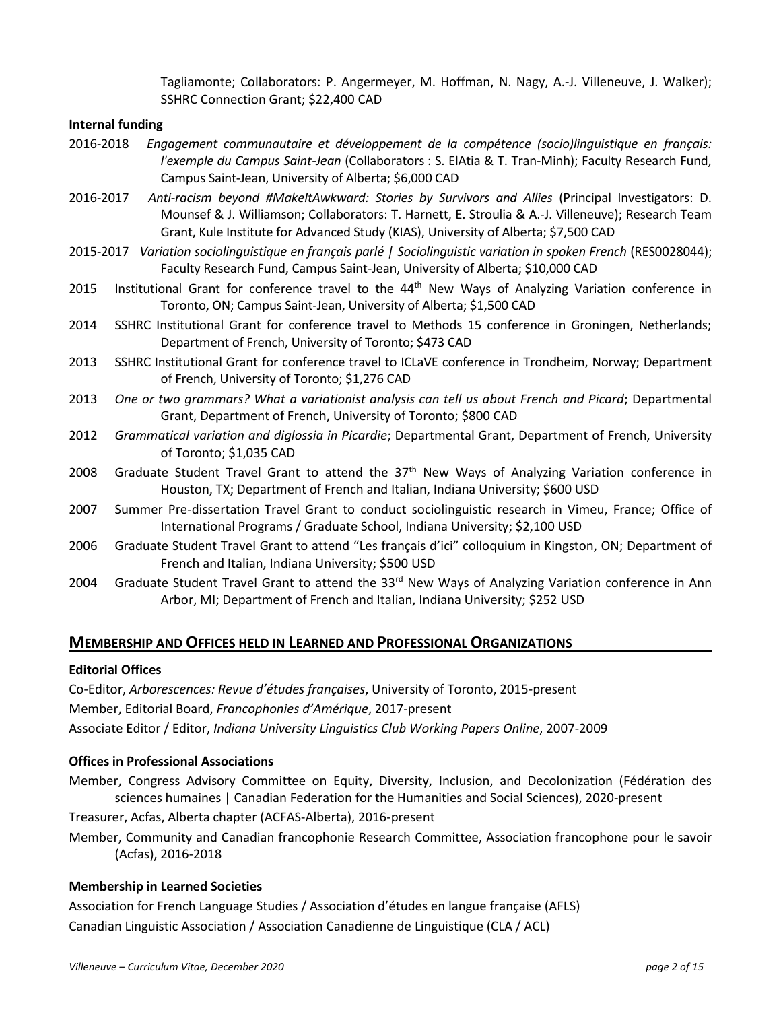Tagliamonte; Collaborators: P. Angermeyer, M. Hoffman, N. Nagy, A.-J. Villeneuve, J. Walker); SSHRC Connection Grant; \$22,400 CAD

#### **Internal funding**

- 2016-2018 *Engagement communautaire et développement de la compétence (socio)linguistique en français: l'exemple du Campus Saint-Jean* (Collaborators : S. ElAtia & T. Tran-Minh); Faculty Research Fund, Campus Saint-Jean, University of Alberta; \$6,000 CAD
- 2016-2017 *Anti-racism beyond #MakeItAwkward: Stories by Survivors and Allies* (Principal Investigators: D. Mounsef & J. Williamson; Collaborators: T. Harnett, E. Stroulia & A.-J. Villeneuve); Research Team Grant, Kule Institute for Advanced Study (KIAS), University of Alberta; \$7,500 CAD
- 2015-2017 *Variation sociolinguistique en français parlé | Sociolinguistic variation in spoken French* (RES0028044); Faculty Research Fund, Campus Saint-Jean, University of Alberta; \$10,000 CAD
- 2015 Institutional Grant for conference travel to the 44<sup>th</sup> New Ways of Analyzing Variation conference in Toronto, ON; Campus Saint-Jean, University of Alberta; \$1,500 CAD
- 2014 SSHRC Institutional Grant for conference travel to Methods 15 conference in Groningen, Netherlands; Department of French, University of Toronto; \$473 CAD
- 2013 SSHRC Institutional Grant for conference travel to ICLaVE conference in Trondheim, Norway; Department of French, University of Toronto; \$1,276 CAD
- 2013 *One or two grammars? What a variationist analysis can tell us about French and Picard*; Departmental Grant, Department of French, University of Toronto; \$800 CAD
- 2012 *Grammatical variation and diglossia in Picardie*; Departmental Grant, Department of French, University of Toronto; \$1,035 CAD
- 2008 Graduate Student Travel Grant to attend the  $37<sup>th</sup>$  New Ways of Analyzing Variation conference in Houston, TX; Department of French and Italian, Indiana University; \$600 USD
- 2007 Summer Pre-dissertation Travel Grant to conduct sociolinguistic research in Vimeu, France; Office of International Programs / Graduate School, Indiana University; \$2,100 USD
- 2006 Graduate Student Travel Grant to attend "Les français d'ici" colloquium in Kingston, ON; Department of French and Italian, Indiana University; \$500 USD
- 2004 Graduate Student Travel Grant to attend the 33<sup>rd</sup> New Ways of Analyzing Variation conference in Ann Arbor, MI; Department of French and Italian, Indiana University; \$252 USD

## **MEMBERSHIP AND OFFICES HELD IN LEARNED AND PROFESSIONAL ORGANIZATIONS**

#### **Editorial Offices**

Co-Editor, *Arborescences: Revue d'études françaises*, University of Toronto, 2015-present Member, Editorial Board, *Francophonies d'Amérique*, 2017-present Associate Editor / Editor, *Indiana University Linguistics Club Working Papers Online*, 2007-2009

## **Offices in Professional Associations**

Member, Congress Advisory Committee on Equity, Diversity, Inclusion, and Decolonization (Fédération des sciences humaines | Canadian Federation for the Humanities and Social Sciences), 2020-present

Treasurer, Acfas, Alberta chapter (ACFAS-Alberta), 2016-present

Member, Community and Canadian francophonie Research Committee, Association francophone pour le savoir (Acfas), 2016-2018

#### **Membership in Learned Societies**

Association for French Language Studies / Association d'études en langue française (AFLS) Canadian Linguistic Association / Association Canadienne de Linguistique (CLA / ACL)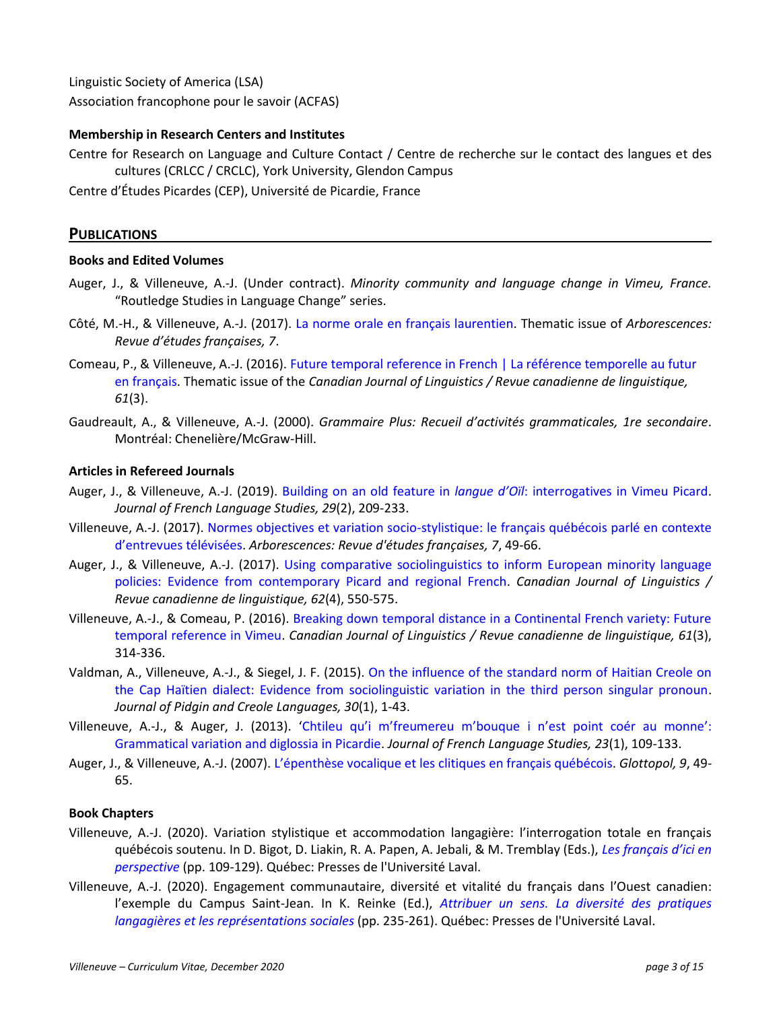Linguistic Society of America (LSA) Association francophone pour le savoir (ACFAS)

## **Membership in Research Centers and Institutes**

Centre for Research on Language and Culture Contact / Centre de recherche sur le contact des langues et des cultures (CRLCC / CRCLC), York University, Glendon Campus

Centre d'Études Picardes (CEP), Université de Picardie, France

## **PUBLICATIONS**

## **Books and Edited Volumes**

- Auger, J., & Villeneuve, A.-J. (Under contract). *Minority community and language change in Vimeu, France.* "Routledge Studies in Language Change" series.
- Côté, M.-H., & Villeneuve, A.-J. (2017). [La norme orale en français laurentien.](https://www.erudit.org/fr/revues/arbo/2017-n7-arbo03935/) Thematic issue of *Arborescences: Revue d'études françaises, 7*.
- Comeau, P., & Villeneuve, A.-J. (2016). [Future temporal reference in French | La référence temporelle au futur](https://www.cambridge.org/core/journals/canadian-journal-of-linguistics-revue-canadienne-de-linguistique/issue/25040694B1D366DA4D6E0EC4D13D64E1)  [en français.](https://www.cambridge.org/core/journals/canadian-journal-of-linguistics-revue-canadienne-de-linguistique/issue/25040694B1D366DA4D6E0EC4D13D64E1) Thematic issue of the *Canadian Journal of Linguistics / Revue canadienne de linguistique, 61*(3).
- Gaudreault, A., & Villeneuve, A.-J. (2000). *Grammaire Plus: Recueil d'activités grammaticales, 1re secondaire*. Montréal: Chenelière/McGraw-Hill.

## **Articles in Refereed Journals**

- Auger, J., & Villeneuve, A.-J. (2019). Building on an old feature in *langue d'Oïl*[: interrogatives in Vimeu Picard.](https://doi.org/10.1017/S095926951900005X) *Journal of French Language Studies, 29*(2), 209-233.
- Villeneuve, A.-J. (2017). [Normes objectives et variation socio-stylistique: le](https://doi.org/10.7202/1050968ar) français québécois parlé en contexte [d'entrevues télévisées](https://doi.org/10.7202/1050968ar). *Arborescences: Revue d'études françaises, 7*, 49-66.
- Auger, J., & Villeneuve, A.-J. (2017). [Using comparative sociolinguistics to inform European minority language](https://doi.org/10.1017/cnj.2017.29)  [policies: Evidence from contemporary Picard and regional French.](https://doi.org/10.1017/cnj.2017.29) *Canadian Journal of Linguistics / Revue canadienne de linguistique, 62*(4), 550-575.
- Villeneuve, A.-J., & Comeau, P. (2016). [Breaking down temporal distance in a Continental French variety: Future](http://dx.doi.org/10.1353/cjl.2016.0025)  [temporal reference in Vimeu.](http://dx.doi.org/10.1353/cjl.2016.0025) *Canadian Journal of Linguistics / Revue canadienne de linguistique, 61*(3), 314-336.
- Valdman, A., Villeneuve, A.-J., & Siegel, J. F. (2015). [On the influence of the standard norm of Haitian Creole on](http://dx.doi.org/10.1075/jpcl.30.1.01val)  [the Cap Haïtien dialect: Evidence from sociolinguistic variation in the third person singular pronoun.](http://dx.doi.org/10.1075/jpcl.30.1.01val) *Journal of Pidgin and Creole Languages, 30*(1), 1-43.
- Villeneuve, A.-J., & Auger, J. (2013). 'Chtileu qu'i m'freumereu m'bouque i n'[est point coér au monne](http://dx.doi.org/10.1017/S0959269512000385)': [Grammatical variation and diglossia in Picardie.](http://dx.doi.org/10.1017/S0959269512000385) *Journal of French Language Studies, 23*(1), 109-133.
- Auger, J., & Villeneuve, A.-J. (2007). L'[épenthèse vocalique et les clitiques en français québécois.](http://glottopol.univ-rouen.fr/numero_9.html#res_auger) *Glottopol, 9*, 49- 65.

## **Book Chapters**

- Villeneuve, A.-J. (2020). Variation stylistique et accommodation langagière: l'interrogation totale en français québécois soutenu. In D. Bigot, D. Liakin, R. A. Papen, A. Jebali, & M. Tremblay (Eds.), *[Les français d'ici en](https://www.pulaval.com/produit/les-francais-d-ici-en-perspective)  [perspective](https://www.pulaval.com/produit/les-francais-d-ici-en-perspective)* (pp. 109-129). Québec: Presses de l'Université Laval.
- Villeneuve, A.-J. (2020). Engagement communautaire, diversité et vitalité du français dans l'Ouest canadien: l'exemple du Campus Saint-Jean. In K. Reinke (Ed.), *[Attribuer un sens. La diversité](https://www.pulaval.com/produit/attribuer-un-sens-la-diversite-des-pratiques-langagieres-et-les-representations-sociales) des pratiques [langagières et les représentations sociales](https://www.pulaval.com/produit/attribuer-un-sens-la-diversite-des-pratiques-langagieres-et-les-representations-sociales)* (pp. 235-261). Québec: Presses de l'Université Laval.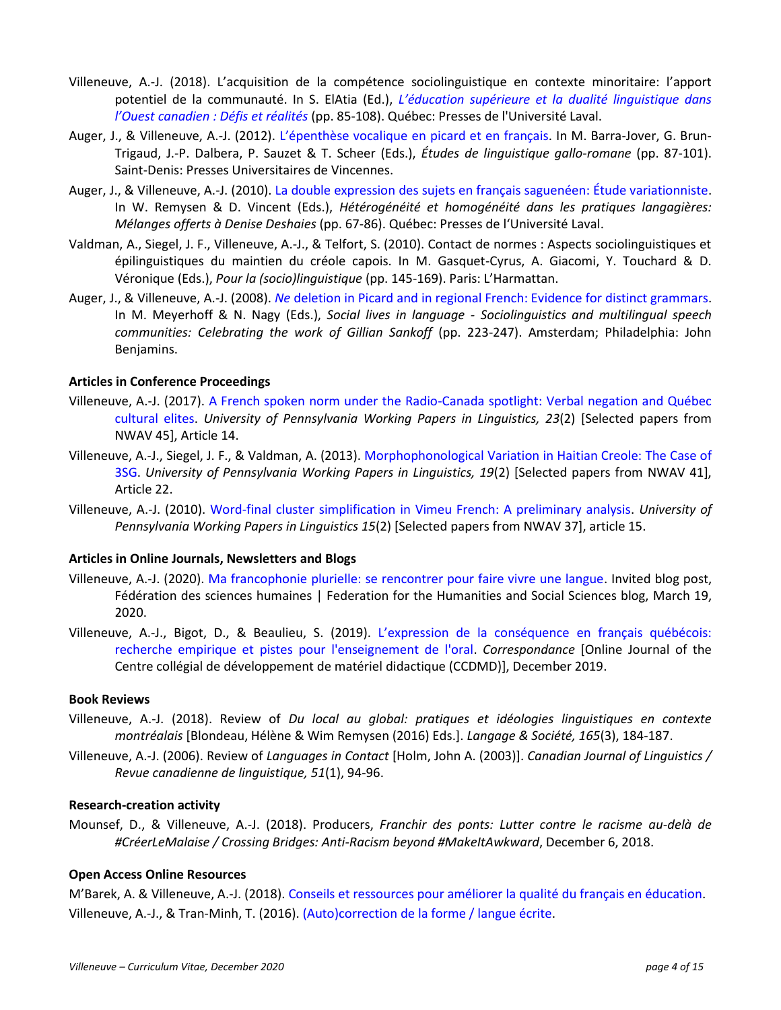- Villeneuve, A.-J. (2018). L'acquisition de la compétence sociolinguistique en contexte minoritaire: l'apport potentiel de la communauté. In S. ElAtia (Ed.), *L'éducation [supérieure et la dualité linguistique dans](https://www.pulaval.com/produit/l-education-superieure-et-la-dualite-linguistique-dans-l-ouest-canadien-defis-et-realites)  [l'Ouest canadien](https://www.pulaval.com/produit/l-education-superieure-et-la-dualite-linguistique-dans-l-ouest-canadien-defis-et-realites) : Défis et réalités* (pp. 85-108). Québec: Presses de l'Université Laval.
- Auger, J., & Villeneuve, A.-J. (2012). L'[épenthèse vocalique en picard et en français.](https://scholar.google.ca/citations?view_op=view_citation&hl=en&user=vAyhnykAAAAJ&citation_for_view=vAyhnykAAAAJ:UeHWp8X0CEIC) In M. Barra-Jover, G. Brun-Trigaud, J.-P. Dalbera, P. Sauzet & T. Scheer (Eds.), *Études de linguistique gallo-romane* (pp. 87-101). Saint-Denis: Presses Universitaires de Vincennes.
- Auger, J., & Villeneuve, A.-J. (2010)[. La double expression des sujets en français saguenéen: Étude variationniste.](https://scholar.google.ca/citations?view_op=view_citation&hl=en&user=vAyhnykAAAAJ&citation_for_view=vAyhnykAAAAJ:qjMakFHDy7sC) In W. Remysen & D. Vincent (Eds.), *Hétérogénéité et homogénéité dans les pratiques langagières: Mélanges offerts à Denise Deshaies* (pp. 67-86). Québec: Presses de l'Université Laval.
- Valdman, A., Siegel, J. F., Villeneuve, A.-J., & Telfort, S. (2010). Contact de normes : Aspects sociolinguistiques et épilinguistiques du maintien du créole capois. In M. Gasquet-Cyrus, A. Giacomi, Y. Touchard & D. Véronique (Eds.), *Pour la (socio)linguistique* (pp. 145-169). Paris: L'Harmattan.
- Auger, J., & Villeneuve, A.-J. (2008). *Ne* [deletion in Picard and in regional French: Evidence for distinct grammars.](https://scholar.google.ca/citations?view_op=view_citation&hl=en&user=vAyhnykAAAAJ&citation_for_view=vAyhnykAAAAJ:u5HHmVD_uO8C) In M. Meyerhoff & N. Nagy (Eds.), *Social lives in language - Sociolinguistics and multilingual speech communities: Celebrating the work of Gillian Sankoff* (pp. 223-247). Amsterdam; Philadelphia: John Benjamins.

## **Articles in Conference Proceedings**

- Villeneuve, A.-J. (2017). [A French spoken norm under the Radio-Canada spotlight: Verbal negation and Québec](http://repository.upenn.edu/cgi/viewcontent.cgi?article=1990&context=pwpl)  [cultural elites.](http://repository.upenn.edu/cgi/viewcontent.cgi?article=1990&context=pwpl) *University of Pennsylvania Working Papers in Linguistics, 23*(2) [Selected papers from NWAV 45], Article 14.
- Villeneuve, A.-J., Siegel, J. F., & Valdman, A. (2013)[. Morphophonological Variation in Haitian Creole: The Case of](http://repository.upenn.edu/pwpl/vol19/iss2/22/)  [3SG.](http://repository.upenn.edu/pwpl/vol19/iss2/22/) *University of Pennsylvania Working Papers in Linguistics, 19*(2) [Selected papers from NWAV 41], Article 22.
- Villeneuve, A.-J. (2010). [Word-final cluster simplification in Vimeu French: A preliminary analysis.](http://repository.upenn.edu/pwpl/vol15/iss2/15/) *University of Pennsylvania Working Papers in Linguistics 15*(2) [Selected papers from NWAV 37], article 15.

#### **Articles in Online Journals, Newsletters and Blogs**

- Villeneuve, A.-J. (2020). [Ma francophonie plurielle: se rencontrer pour faire vivre une langue.](http://www.idees-ideas.ca/blogue/ma-francophonie-plurielle-se-rencontrer-pour-faire-vivre-une-langue) Invited blog post, Fédération des sciences humaines | Federation for the Humanities and Social Sciences blog, March 19, 2020.
- Villeneuve, A.-J., Bigot, D., & Beaulieu, S. (2019). [L'expression de la conséquence en français québécois:](https://www.researchgate.net/publication/337898718_L)  [recherche empirique et pistes pour l'enseignement de l'oral.](https://www.researchgate.net/publication/337898718_L) *Correspondance* [Online Journal of the Centre collégial de développement de matériel didactique (CCDMD)], December 2019.

#### **Book Reviews**

- Villeneuve, A.-J. (2018). Review of *Du local au global: pratiques et idéologies linguistiques en contexte montréalais* [Blondeau, Hélène & Wim Remysen (2016) Eds.]. *Langage & Société, 165*(3), 184-187.
- Villeneuve, A.-J. (2006). Review of *Languages in Contact* [Holm, John A. (2003)]. *Canadian Journal of Linguistics / Revue canadienne de linguistique, 51*(1), 94-96.

### **Research-creation activity**

Mounsef, D., & Villeneuve, A.-J. (2018). Producers, *Franchir des ponts: Lutter contre le racisme au-delà de #CréerLeMalaise / Crossing Bridges: Anti-Racism beyond #MakeItAwkward*, December 6, 2018.

#### **Open Access Online Resources**

M'Barek, A. & Villeneuve, A.-J. (2018). [Conseils et ressources pour améliorer la qualité du français en éducation.](https://sites.ualberta.ca/~annejos/DOCS/RESOURCES/MBarek%20%26%20Villeneuve%202018%20Conseils%20et%20ressources%20pour%20ameliorer%20la%20qualite%20du%20francais%20en%20%C3%A9ducation%20FINAL.pdf) Villeneuve, A.-J., & Tran-Minh, T. (2016). [\(Auto\)correction de la forme / langue écrite.](https://sites.ualberta.ca/~annejos/DOCS/RESOURCES/Villeneuve%20%26%20TranMinh%202016%20Annotations%20ecriture%20Writing%20Feedback.pdf)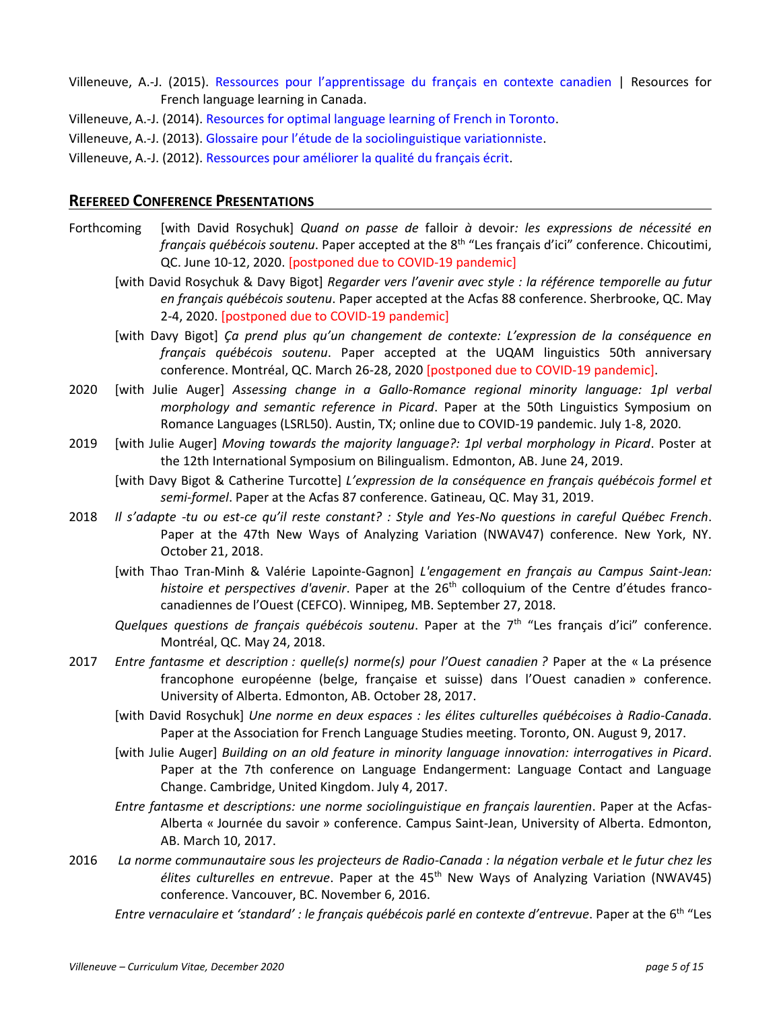- Villeneuve, A.-J. (2015). [Ressources pour l'apprentissage du français en contexte canadien](https://sites.ualberta.ca/~annejos/DOCS/RESOURCES/Villeneuve%202015%20Ressources%20pour%20l%27apprentissage%20du%20francais%20en%20contexte%20canadien%20Resources%20for%20French%20language%20learning%20in%20Canada.pdf) | Resources for French language learning in Canada.
- Villeneuve, A.-J. (2014)[. Resources for optimal language learning of French in Toronto.](https://sites.ualberta.ca/~annejos/DOCS/RESOURCES/Villeneuve%202014%20Suggestions%20for%20optimal%20language%20learning%20of%20French%20in%20Toronto.pdf)
- Villeneuve, A.-J. (2013). Glossaire pour l'[étude de la sociolinguistique variationniste.](https://sites.ualberta.ca/~annejos/DOCS/RESOURCES/Villeneuve%202013%20Glossaire%20francais-anglais%20de%20sociolinguistique%20variationniste.pdf)
- Villeneuve, A.-J. (2012)[. Ressources pour améliorer la qualité du français écrit.](https://sites.ualberta.ca/~annejos/DOCS/RESOURCES/Villeneuve%202012%20Conseils%20et%20ressources%20pour%20ameliorer%20la%20qualite%20du%20francais%20ecrit.pdf)

## **REFEREED CONFERENCE PRESENTATIONS**

- Forthcoming [with David Rosychuk] *Quand on passe de* falloir *à* devoir*: les expressions de nécessité en français québécois soutenu*. Paper accepted at the 8th "Les français d'ici" conference. Chicoutimi, QC. June 10-12, 2020. [postponed due to COVID-19 pandemic]
	- [with David Rosychuk & Davy Bigot] *Regarder vers l'avenir avec style : la référence temporelle au futur en français québécois soutenu*. Paper accepted at the Acfas 88 conference. Sherbrooke, QC. May 2-4, 2020. [postponed due to COVID-19 pandemic]
	- [with Davy Bigot] *Ça prend plus qu'un changement de contexte: L'expression de la conséquence en français québécois soutenu*. Paper accepted at the UQAM linguistics 50th anniversary conference. Montréal, QC. March 26-28, 2020 [postponed due to COVID-19 pandemic].
- 2020 [with Julie Auger] *Assessing change in a Gallo-Romance regional minority language: 1pl verbal morphology and semantic reference in Picard*. Paper at the 50th Linguistics Symposium on Romance Languages (LSRL50). Austin, TX; online due to COVID-19 pandemic. July 1-8, 2020.
- 2019 [with Julie Auger] *Moving towards the majority language?: 1pl verbal morphology in Picard*. Poster at the 12th International Symposium on Bilingualism. Edmonton, AB. June 24, 2019.
	- [with Davy Bigot & Catherine Turcotte] *L'expression de la conséquence en français québécois formel et semi-formel*. Paper at the Acfas 87 conference. Gatineau, QC. May 31, 2019.
- 2018 *Il s'adapte -tu ou est-ce qu'il reste constant? : Style and Yes-No questions in careful Québec French*. Paper at the 47th New Ways of Analyzing Variation (NWAV47) conference. New York, NY. October 21, 2018.
	- [with Thao Tran-Minh & Valérie Lapointe-Gagnon] *L'engagement en français au Campus Saint-Jean:*  histoire et perspectives d'avenir. Paper at the 26<sup>th</sup> colloquium of the Centre d'études francocanadiennes de l'Ouest (CEFCO). Winnipeg, MB. September 27, 2018.
	- Quelques questions de français québécois soutenu. Paper at the 7<sup>th "</sup>Les français d'ici" conference. Montréal, QC. May 24, 2018.
- 2017 *Entre fantasme et description : quelle(s) norme(s) pour l'Ouest canadien ?* Paper at the « La présence francophone européenne (belge, française et suisse) dans l'Ouest canadien » conference. University of Alberta. Edmonton, AB. October 28, 2017.
	- [with David Rosychuk] *Une norme en deux espaces : les élites culturelles québécoises à Radio-Canada*. Paper at the Association for French Language Studies meeting. Toronto, ON. August 9, 2017.
	- [with Julie Auger] *Building on an old feature in minority language innovation: interrogatives in Picard*. Paper at the 7th conference on Language Endangerment: Language Contact and Language Change. Cambridge, United Kingdom. July 4, 2017.
	- *Entre fantasme et descriptions: une norme sociolinguistique en français laurentien*. Paper at the Acfas-Alberta « Journée du savoir » conference. Campus Saint-Jean, University of Alberta. Edmonton, AB. March 10, 2017.
- 2016 *La norme communautaire sous les projecteurs de Radio-Canada : la négation verbale et le futur chez les élites culturelles en entrevue*. Paper at the 45th New Ways of Analyzing Variation (NWAV45) conference. Vancouver, BC. November 6, 2016.
	- *Entre vernaculaire et 'standard' : le français québécois parlé en contexte d'entrevue*. Paper at the 6 th "Les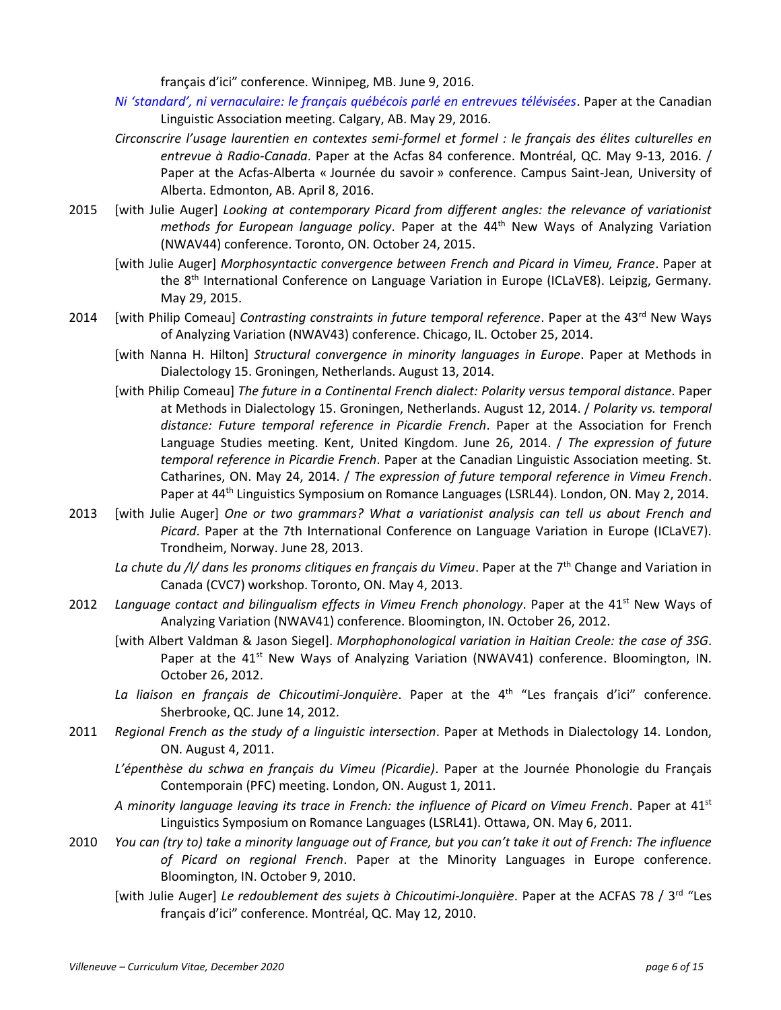français d'ici" conference. Winnipeg, MB. June 9, 2016.

- *[Ni 'standard', ni vernaculaire: le français québécois parlé en entrevues télévisées](http://cla-acl.ca/wp-content/uploads/resumes-2016-abstracts/Villeneuve.pdf)*. Paper at the Canadian Linguistic Association meeting. Calgary, AB. May 29, 2016.
- *Circonscrire l'usage laurentien en contextes semi-formel et formel : le français des élites culturelles en entrevue à Radio-Canada*. Paper at the Acfas 84 conference. Montréal, QC. May 9-13, 2016. / Paper at the Acfas-Alberta « Journée du savoir » conference. Campus Saint-Jean, University of Alberta. Edmonton, AB. April 8, 2016.
- 2015 [with Julie Auger] *Looking at contemporary Picard from different angles: the relevance of variationist methods for European language policy*. Paper at the 44<sup>th</sup> New Ways of Analyzing Variation (NWAV44) conference. Toronto, ON. October 24, 2015.
	- [with Julie Auger] *Morphosyntactic convergence between French and Picard in Vimeu, France*. Paper at the 8<sup>th</sup> International Conference on Language Variation in Europe (ICLaVE8). Leipzig, Germany. May 29, 2015.
- 2014 [with Philip Comeau] *Contrasting constraints in future temporal reference*. Paper at the 43<sup>rd</sup> New Ways of Analyzing Variation (NWAV43) conference. Chicago, IL. October 25, 2014.
	- [with Nanna H. Hilton] *Structural convergence in minority languages in Europe*. Paper at Methods in Dialectology 15. Groningen, Netherlands. August 13, 2014.
	- [with Philip Comeau] *The future in a Continental French dialect: Polarity versus temporal distance*. Paper at Methods in Dialectology 15. Groningen, Netherlands. August 12, 2014. / *Polarity vs. temporal distance: Future temporal reference in Picardie French*. Paper at the Association for French Language Studies meeting. Kent, United Kingdom. June 26, 2014. / *The expression of future temporal reference in Picardie French*. Paper at the Canadian Linguistic Association meeting. St. Catharines, ON. May 24, 2014. / *The expression of future temporal reference in Vimeu French*. Paper at 44<sup>th</sup> Linguistics Symposium on Romance Languages (LSRL44). London, ON. May 2, 2014.
- 2013 [with Julie Auger] *One or two grammars? What a variationist analysis can tell us about French and Picard*. Paper at the 7th International Conference on Language Variation in Europe (ICLaVE7). Trondheim, Norway. June 28, 2013.
	- La chute du /l/ dans les pronoms clitiques en français du Vimeu. Paper at the 7<sup>th</sup> Change and Variation in Canada (CVC7) workshop. Toronto, ON. May 4, 2013.
- 2012 Language contact and bilingualism effects in Vimeu French phonology. Paper at the 41<sup>st</sup> New Ways of Analyzing Variation (NWAV41) conference. Bloomington, IN. October 26, 2012.
	- [with Albert Valdman & Jason Siegel]. *Morphophonological variation in Haitian Creole: the case of 3SG*. Paper at the 41<sup>st</sup> New Ways of Analyzing Variation (NWAV41) conference. Bloomington, IN. October 26, 2012.
	- La liaison en français de Chicoutimi-Jonquière. Paper at the 4<sup>th "</sup>Les français d'ici" conference. Sherbrooke, QC. June 14, 2012.
- 2011 *Regional French as the study of a linguistic intersection*. Paper at Methods in Dialectology 14. London, ON. August 4, 2011.
	- *L'épenthèse du schwa en français du Vimeu (Picardie)*. Paper at the Journée Phonologie du Français Contemporain (PFC) meeting. London, ON. August 1, 2011.
	- *A minority language leaving its trace in French: the influence of Picard on Vimeu French*. Paper at 41st Linguistics Symposium on Romance Languages (LSRL41). Ottawa, ON. May 6, 2011.
- 2010 *You can (try to) take a minority language out of France, but you can't take it out of French: The influence of Picard on regional French*. Paper at the Minority Languages in Europe conference. Bloomington, IN. October 9, 2010.
	- [with Julie Auger] *Le redoublement des sujets à Chicoutimi-Jonquière*. Paper at the ACFAS 78 / 3 rd "Les français d'ici" conference. Montréal, QC. May 12, 2010.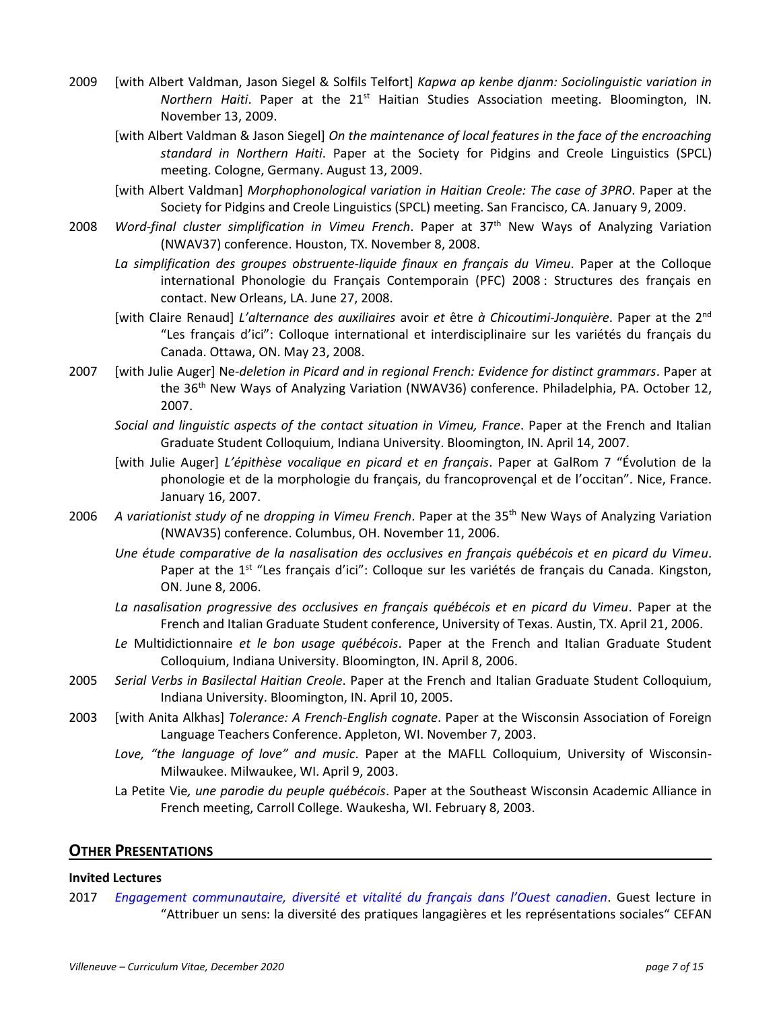- 2009 [with Albert Valdman, Jason Siegel & Solfils Telfort] *Kapwa ap kenbe djanm: Sociolinguistic variation in Northern Haiti*. Paper at the 21<sup>st</sup> Haitian Studies Association meeting. Bloomington, IN. November 13, 2009.
	- [with Albert Valdman & Jason Siegel] *On the maintenance of local features in the face of the encroaching standard in Northern Haiti*. Paper at the Society for Pidgins and Creole Linguistics (SPCL) meeting. Cologne, Germany. August 13, 2009.
	- [with Albert Valdman] *Morphophonological variation in Haitian Creole: The case of 3PRO*. Paper at the Society for Pidgins and Creole Linguistics (SPCL) meeting. San Francisco, CA. January 9, 2009.
- 2008 *Word-final cluster simplification in Vimeu French*. Paper at 37th New Ways of Analyzing Variation (NWAV37) conference. Houston, TX. November 8, 2008.
	- *La simplification des groupes obstruente-liquide finaux en français du Vimeu*. Paper at the Colloque international Phonologie du Français Contemporain (PFC) 2008 : Structures des français en contact. New Orleans, LA. June 27, 2008.
	- [with Claire Renaud] L'alternance des auxiliaires avoir et être à Chicoutimi-Jonquière. Paper at the 2<sup>nd</sup> "Les français d'ici": Colloque international et interdisciplinaire sur les variétés du français du Canada. Ottawa, ON. May 23, 2008.
- 2007 [with Julie Auger] Ne*-deletion in Picard and in regional French: Evidence for distinct grammars*. Paper at the 36<sup>th</sup> New Ways of Analyzing Variation (NWAV36) conference. Philadelphia, PA. October 12, 2007.
	- *Social and linguistic aspects of the contact situation in Vimeu, France*. Paper at the French and Italian Graduate Student Colloquium, Indiana University. Bloomington, IN. April 14, 2007.
	- [with Julie Auger] *L'épithèse vocalique en picard et en français*. Paper at GalRom 7 "Évolution de la phonologie et de la morphologie du français, du francoprovençal et de l'occitan". Nice, France. January 16, 2007.
- 2006 *A variationist study of* ne *dropping in Vimeu French*. Paper at the 35th New Ways of Analyzing Variation (NWAV35) conference. Columbus, OH. November 11, 2006.
	- *Une étude comparative de la nasalisation des occlusives en français québécois et en picard du Vimeu*. Paper at the 1<sup>st</sup> "Les français d'ici": Colloque sur les variétés de français du Canada. Kingston, ON. June 8, 2006.
	- *La nasalisation progressive des occlusives en français québécois et en picard du Vimeu*. Paper at the French and Italian Graduate Student conference, University of Texas. Austin, TX. April 21, 2006.
	- *Le* Multidictionnaire *et le bon usage québécois*. Paper at the French and Italian Graduate Student Colloquium, Indiana University. Bloomington, IN. April 8, 2006.
- 2005 *Serial Verbs in Basilectal Haitian Creole*. Paper at the French and Italian Graduate Student Colloquium, Indiana University. Bloomington, IN. April 10, 2005.
- 2003 [with Anita Alkhas] *Tolerance: A French-English cognate*. Paper at the Wisconsin Association of Foreign Language Teachers Conference. Appleton, WI. November 7, 2003.
	- *Love, "the language of love" and music*. Paper at the MAFLL Colloquium, University of Wisconsin-Milwaukee. Milwaukee, WI. April 9, 2003.
	- La Petite Vie*, une parodie du peuple québécois*. Paper at the Southeast Wisconsin Academic Alliance in French meeting, Carroll College. Waukesha, WI. February 8, 2003.

## **OTHER PRESENTATIONS**

#### **Invited Lectures**

2017 *Engagement [communautaire, diversité et vitalité du français dans l'Ouest canadien](https://www.youtube.com/watch?v=1VGInLdH3K0)*. Guest lecture in "Attribuer un sens: la diversité des pratiques langagières et les représentations sociales" CEFAN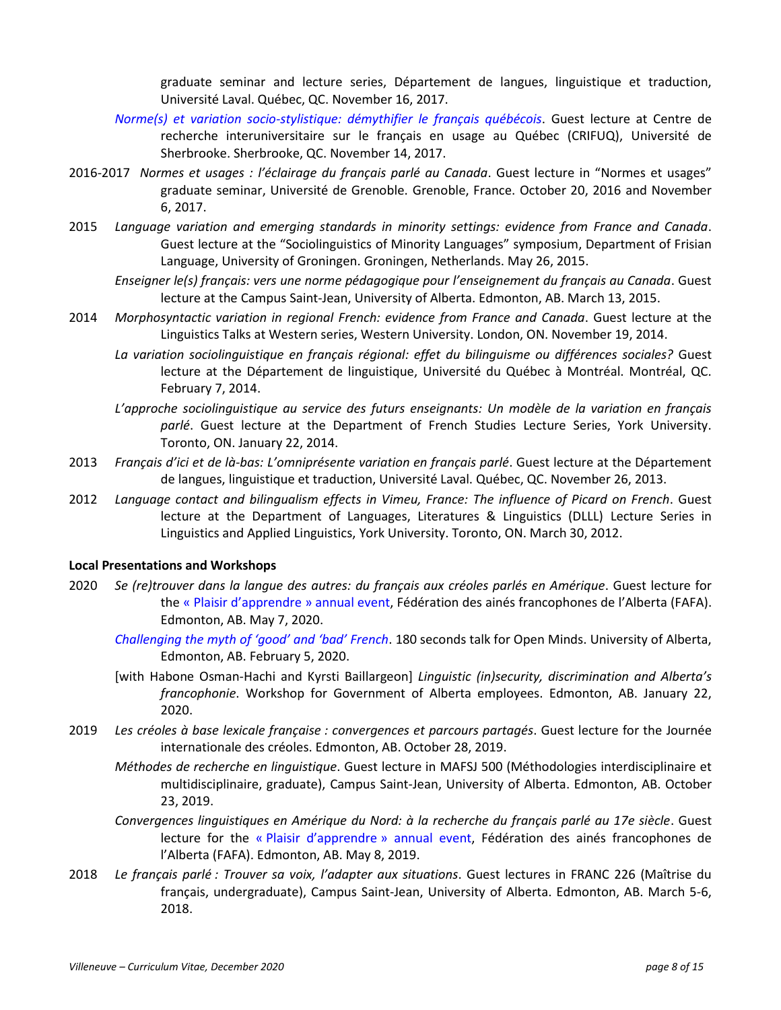graduate seminar and lecture series, Département de langues, linguistique et traduction, Université Laval. Québec, QC. November 16, 2017.

- *[Norme\(s\) et variation socio-stylistique: démythifier le français québécois](https://www.usherbrooke.ca/gnec/pj/villeneuve-1.pdf)*. Guest lecture at Centre de recherche interuniversitaire sur le français en usage au Québec (CRIFUQ), Université de Sherbrooke. Sherbrooke, QC. November 14, 2017.
- 2016-2017 *Normes et usages : l'éclairage du français parlé au Canada*. Guest lecture in "Normes et usages" graduate seminar, Université de Grenoble. Grenoble, France. October 20, 2016 and November 6, 2017.
- 2015 *Language variation and emerging standards in minority settings: evidence from France and Canada*. Guest lecture at the "Sociolinguistics of Minority Languages" symposium, Department of Frisian Language, University of Groningen. Groningen, Netherlands. May 26, 2015.
	- *Enseigner le(s) français: vers une norme pédagogique pour l'enseignement du français au Canada*. Guest lecture at the Campus Saint-Jean, University of Alberta. Edmonton, AB. March 13, 2015.
- 2014 *Morphosyntactic variation in regional French: evidence from France and Canada*. Guest lecture at the Linguistics Talks at Western series, Western University. London, ON. November 19, 2014.
	- *La variation sociolinguistique en français régional: effet du bilinguisme ou différences sociales?* Guest lecture at the Département de linguistique, Université du Québec à Montréal. Montréal, QC. February 7, 2014.
	- *L'approche sociolinguistique au service des futurs enseignants: Un modèle de la variation en français parlé*. Guest lecture at the Department of French Studies Lecture Series, York University. Toronto, ON. January 22, 2014.
- 2013 *Français d'ici et de là-bas: L'omniprésente variation en français parlé*. Guest lecture at the Département de langues, linguistique et traduction, Université Laval. Québec, QC. November 26, 2013.
- 2012 *Language contact and bilingualism effects in Vimeu, France: The influence of Picard on French*. Guest lecture at the Department of Languages, Literatures & Linguistics (DLLL) Lecture Series in Linguistics and Applied Linguistics, York University. Toronto, ON. March 30, 2012.

#### **Local Presentations and Workshops**

- 2020 *Se (re)trouver dans la langue des autres: du français aux créoles parlés en Amérique*. Guest lecture for the « [Plaisir d'apprendre](https://www.fafalta.ca/fichiers/NotreAction/Plaisir_dApprendre/Programme.jpg) » annual event, Fédération des ainés francophones de l'Alberta (FAFA). Edmonton, AB. May 7, 2020.
	- *[Challenging the myth of 'good' and 'bad' French](https://www.youtube.com/watch?v=YQ3afmu4J_8)*. 180 seconds talk for Open Minds. University of Alberta, Edmonton, AB. February 5, 2020.
	- [with Habone Osman-Hachi and Kyrsti Baillargeon] *Linguistic (in)security, discrimination and Alberta's francophonie*. Workshop for Government of Alberta employees. Edmonton, AB. January 22, 2020.
- 2019 *Les créoles à base lexicale française : convergences et parcours partagés*. Guest lecture for the Journée internationale des créoles. Edmonton, AB. October 28, 2019.
	- *Méthodes de recherche en linguistique*. Guest lecture in MAFSJ 500 (Méthodologies interdisciplinaire et multidisciplinaire, graduate), Campus Saint-Jean, University of Alberta. Edmonton, AB. October 23, 2019.
	- *Convergences linguistiques en Amérique du Nord: à la recherche du français parlé au 17e siècle*. Guest lecture for the « [Plaisir d'apprendre](https://www.fafalta.ca/fichiers/Programme_PlaisirDApprendre_2019.pdf) » annual event, Fédération des ainés francophones de l'Alberta (FAFA). Edmonton, AB. May 8, 2019.
- 2018 *Le français parlé : Trouver sa voix, l'adapter aux situations*. Guest lectures in FRANC 226 (Maîtrise du français, undergraduate), Campus Saint-Jean, University of Alberta. Edmonton, AB. March 5-6, 2018.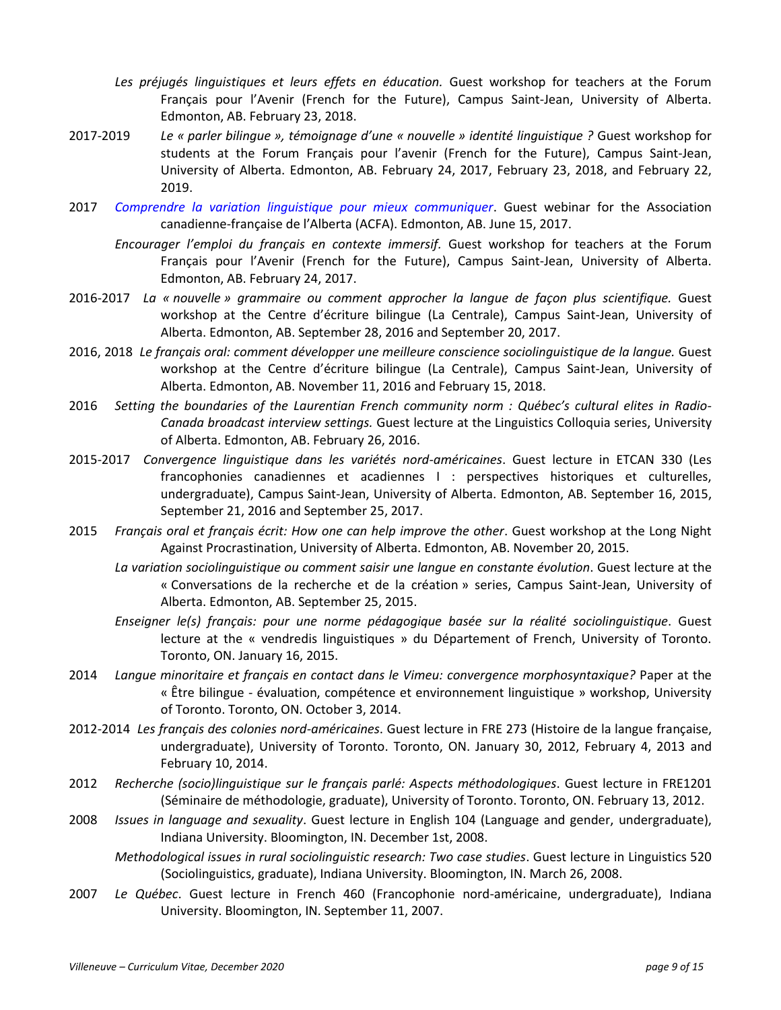- *Les préjugés linguistiques et leurs effets en éducation.* Guest workshop for teachers at the Forum Français pour l'Avenir (French for the Future), Campus Saint-Jean, University of Alberta. Edmonton, AB. February 23, 2018.
- 2017-2019 *Le « parler bilingue », témoignage d'une « nouvelle » identité linguistique ?* Guest workshop for students at the Forum Français pour l'avenir (French for the Future), Campus Saint-Jean, University of Alberta. Edmonton, AB. February 24, 2017, February 23, 2018, and February 22, 2019.
- 2017 *[Comprendre la variation linguistique pour mieux communiquer](https://www.youtube.com/watch?v=2b3o5Onbd2I)*. Guest webinar for the Association canadienne-française de l'Alberta (ACFA). Edmonton, AB. June 15, 2017.
	- *Encourager l'emploi du français en contexte immersif.* Guest workshop for teachers at the Forum Français pour l'Avenir (French for the Future), Campus Saint-Jean, University of Alberta. Edmonton, AB. February 24, 2017.
- 2016-2017 *La « nouvelle » grammaire ou comment approcher la langue de façon plus scientifique.* Guest workshop at the Centre d'écriture bilingue (La Centrale), Campus Saint-Jean, University of Alberta. Edmonton, AB. September 28, 2016 and September 20, 2017.
- 2016, 2018 *Le français oral: comment développer une meilleure conscience sociolinguistique de la langue.* Guest workshop at the Centre d'écriture bilingue (La Centrale), Campus Saint-Jean, University of Alberta. Edmonton, AB. November 11, 2016 and February 15, 2018.
- 2016 *Setting the boundaries of the Laurentian French community norm : Québec's cultural elites in Radio-Canada broadcast interview settings.* Guest lecture at the Linguistics Colloquia series, University of Alberta. Edmonton, AB. February 26, 2016.
- 2015-2017 *Convergence linguistique dans les variétés nord-américaines*. Guest lecture in ETCAN 330 (Les francophonies canadiennes et acadiennes I : perspectives historiques et culturelles, undergraduate), Campus Saint-Jean, University of Alberta. Edmonton, AB. September 16, 2015, September 21, 2016 and September 25, 2017.
- 2015 *Français oral et français écrit: How one can help improve the other*. Guest workshop at the Long Night Against Procrastination, University of Alberta. Edmonton, AB. November 20, 2015.
	- *La variation sociolinguistique ou comment saisir une langue en constante évolution*. Guest lecture at the « Conversations de la recherche et de la création » series, Campus Saint-Jean, University of Alberta. Edmonton, AB. September 25, 2015.
	- *Enseigner le(s) français: pour une norme pédagogique basée sur la réalité sociolinguistique*. Guest lecture at the « vendredis linguistiques » du Département of French, University of Toronto. Toronto, ON. January 16, 2015.
- 2014 *Langue minoritaire et français en contact dans le Vimeu: convergence morphosyntaxique?* Paper at the « Être bilingue - évaluation, compétence et environnement linguistique » workshop, University of Toronto. Toronto, ON. October 3, 2014.
- 2012-2014 *Les français des colonies nord-américaines*. Guest lecture in FRE 273 (Histoire de la langue française, undergraduate), University of Toronto. Toronto, ON. January 30, 2012, February 4, 2013 and February 10, 2014.
- 2012 *Recherche (socio)linguistique sur le français parlé: Aspects méthodologiques*. Guest lecture in FRE1201 (Séminaire de méthodologie, graduate), University of Toronto. Toronto, ON. February 13, 2012.
- 2008 *Issues in language and sexuality*. Guest lecture in English 104 (Language and gender, undergraduate), Indiana University. Bloomington, IN. December 1st, 2008.

*Methodological issues in rural sociolinguistic research: Two case studies*. Guest lecture in Linguistics 520 (Sociolinguistics, graduate), Indiana University. Bloomington, IN. March 26, 2008.

2007 *Le Québec*. Guest lecture in French 460 (Francophonie nord-américaine, undergraduate), Indiana University. Bloomington, IN. September 11, 2007.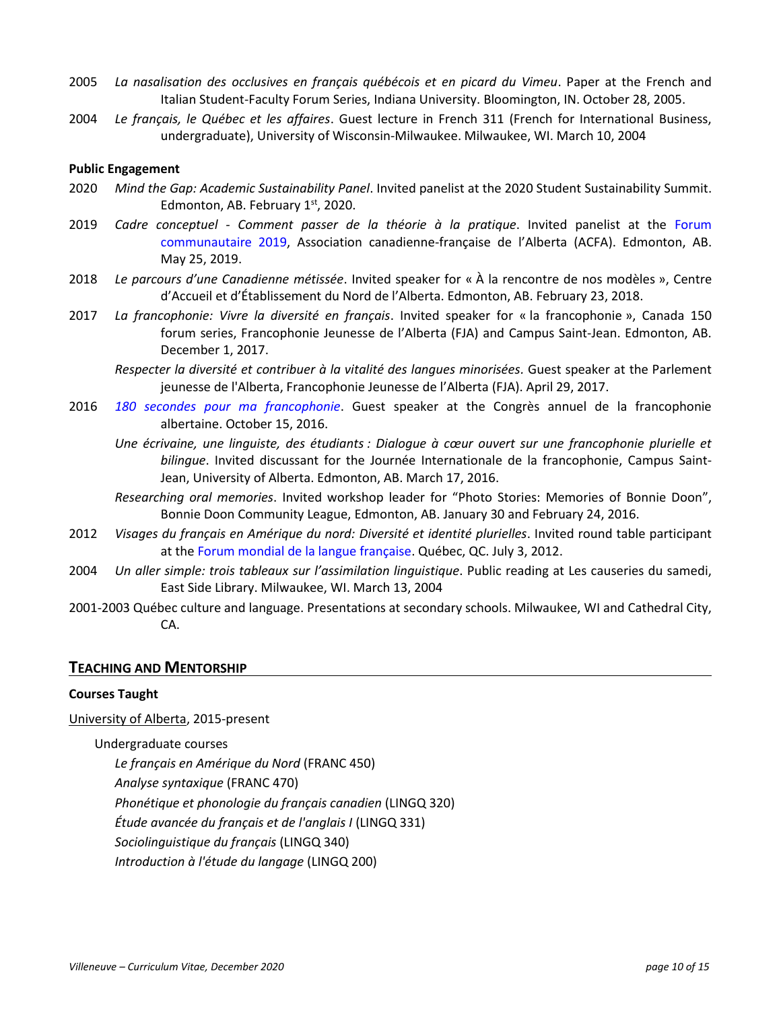- 2005 *La nasalisation des occlusives en français québécois et en picard du Vimeu*. Paper at the French and Italian Student-Faculty Forum Series, Indiana University. Bloomington, IN. October 28, 2005.
- 2004 *Le français, le Québec et les affaires*. Guest lecture in French 311 (French for International Business, undergraduate), University of Wisconsin-Milwaukee. Milwaukee, WI. March 10, 2004

#### **Public Engagement**

- 2020 *Mind the Gap: Academic Sustainability Panel*. Invited panelist at the 2020 Student Sustainability Summit. Edmonton, AB. February  $1<sup>st</sup>$ , 2020.
- 2019 *Cadre conceptuel - Comment passer de la théorie à la pratique*. Invited panelist at the [Forum](https://lefranco.ab.ca/edmonton/ou-la-communaute-est-elle-rendue/)  [communautaire 2019,](https://lefranco.ab.ca/edmonton/ou-la-communaute-est-elle-rendue/) Association canadienne-française de l'Alberta (ACFA). Edmonton, AB. May 25, 2019.
- 2018 *Le parcours d'une Canadienne métissée*. Invited speaker for « À la rencontre de nos modèles », Centre d'Accueil et d'Établissement du Nord de l'Alberta. Edmonton, AB. February 23, 2018.
- 2017 *La francophonie: Vivre la diversité en français*. Invited speaker for « la francophonie », Canada 150 forum series, Francophonie Jeunesse de l'Alberta (FJA) and Campus Saint-Jean. Edmonton, AB. December 1, 2017.
	- *Respecter la diversité et contribuer à la vitalité des langues minorisées.* Guest speaker at the Parlement jeunesse de l'Alberta, Francophonie Jeunesse de l'Alberta (FJA). April 29, 2017.
- 2016 *[180 secondes pour ma francophonie](https://www.youtube.com/watch?v=fF2VC3N1uno)*. Guest speaker at the Congrès annuel de la francophonie albertaine. October 15, 2016.
	- *Une écrivaine, une linguiste, des étudiants : Dialogue à cœur ouvert sur une francophonie plurielle et bilingue*. Invited discussant for the Journée Internationale de la francophonie, Campus Saint-Jean, University of Alberta. Edmonton, AB. March 17, 2016.
	- *Researching oral memories*. Invited workshop leader for "Photo Stories: Memories of Bonnie Doon", Bonnie Doon Community League, Edmonton, AB. January 30 and February 24, 2016.
- 2012 *Visages du français en Amérique du nord: Diversité et identité plurielles*. Invited round table participant at the [Forum mondial de la langue française.](http://artsites.uottawa.ca/wp-content/blogs.dir/polyphonies/Forum.pdf) Québec, QC. July 3, 2012.
- 2004 *Un aller simple: trois tableaux sur l'assimilation linguistique*. Public reading at Les causeries du samedi, East Side Library. Milwaukee, WI. March 13, 2004
- 2001-2003 Québec culture and language. Presentations at secondary schools. Milwaukee, WI and Cathedral City, CA.

#### **TEACHING AND MENTORSHIP**

### **Courses Taught**

University of Alberta, 2015-present

Undergraduate courses

*Le français en Amérique du Nord* (FRANC 450) *Analyse syntaxique* (FRANC 470) *Phonétique et phonologie du français canadien* (LINGQ 320) *Étude avancée du français et de l'anglais I* (LINGQ 331) *Sociolinguistique du français* (LINGQ 340) *Introduction à l'étude du langage* (LINGQ 200)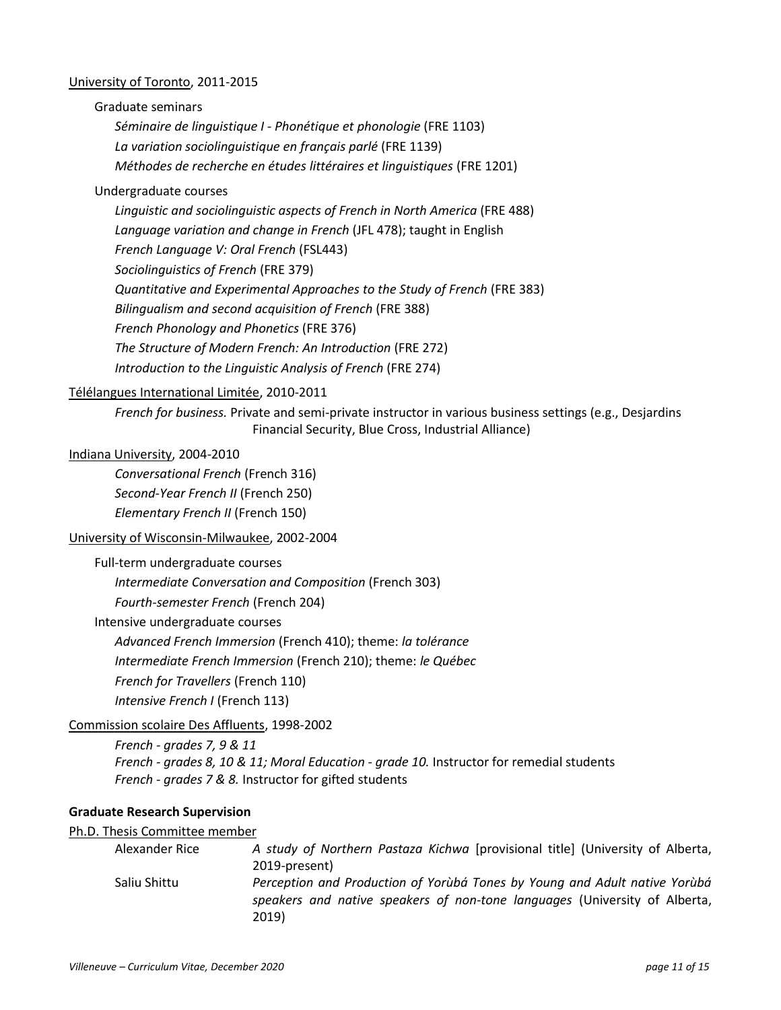#### University of Toronto, 2011-2015

Graduate seminars

*Séminaire de linguistique I - Phonétique et phonologie* (FRE 1103) *La variation sociolinguistique en français parlé* (FRE 1139) *Méthodes de recherche en études littéraires et linguistiques* (FRE 1201)

#### Undergraduate courses

*Linguistic and sociolinguistic aspects of French in North America* (FRE 488) *Language variation and change in French* (JFL 478); taught in English *French Language V: Oral French* (FSL443) *Sociolinguistics of French* (FRE 379) *Quantitative and Experimental Approaches to the Study of French* (FRE 383) *Bilingualism and second acquisition of French* (FRE 388) *French Phonology and Phonetics* (FRE 376) *The Structure of Modern French: An Introduction* (FRE 272) *Introduction to the Linguistic Analysis of French* (FRE 274)

## Télélangues International Limitée, 2010-2011

*French for business.* Private and semi-private instructor in various business settings (e.g., Desjardins Financial Security, Blue Cross, Industrial Alliance)

### Indiana University, 2004-2010

*Conversational French* (French 316) *Second-Year French II* (French 250) *Elementary French II* (French 150)

#### University of Wisconsin-Milwaukee, 2002-2004

Full-term undergraduate courses

*Intermediate Conversation and Composition* (French 303)

*Fourth-semester French* (French 204)

Intensive undergraduate courses

*Advanced French Immersion* (French 410); theme: *la tolérance*

*Intermediate French Immersion* (French 210); theme: *le Québec*

*French for Travellers* (French 110)

*Intensive French I* (French 113)

#### Commission scolaire Des Affluents, 1998-2002

*French - grades 7, 9 & 11 French - grades 8, 10 & 11; Moral Education* - *grade 10.* Instructor for remedial students *French - grades 7 & 8.* Instructor for gifted students

#### **Graduate Research Supervision**

#### Ph.D. Thesis Committee member

| Alexander Rice | A study of Northern Pastaza Kichwa [provisional title] (University of Alberta,                                                                                    |
|----------------|-------------------------------------------------------------------------------------------------------------------------------------------------------------------|
|                | 2019-present)                                                                                                                                                     |
| Saliu Shittu   | Perception and Production of Yorubá Tones by Young and Adult native Yorubá<br>speakers and native speakers of non-tone languages (University of Alberta,<br>2019) |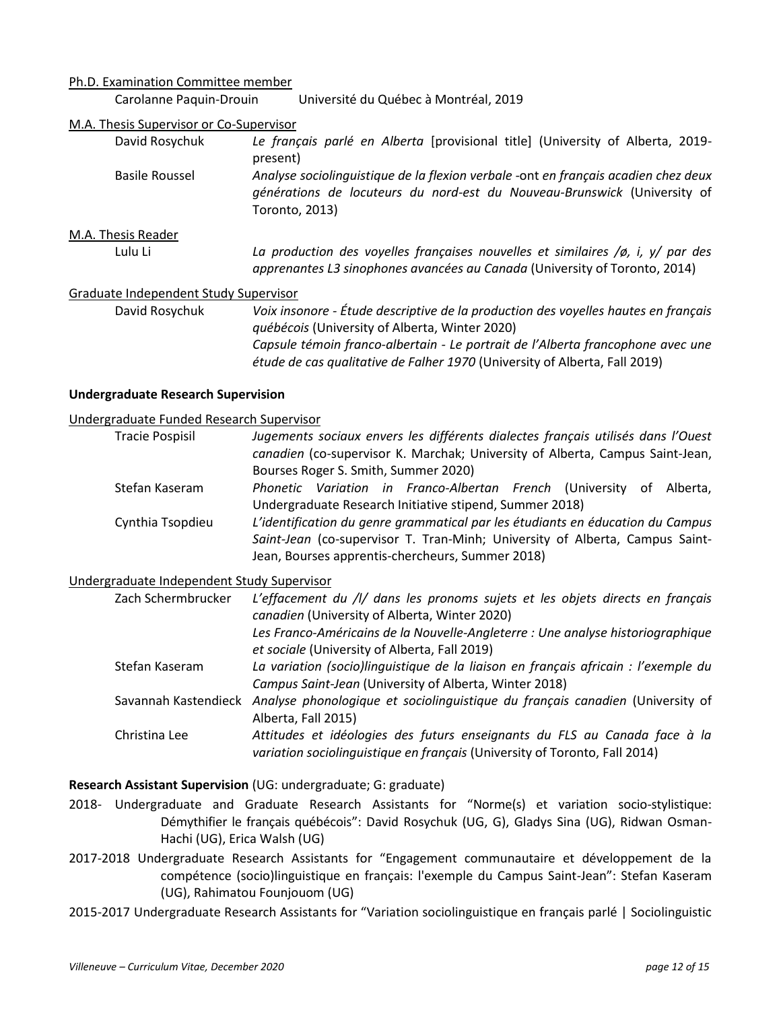#### Ph.D. Examination Committee member

Carolanne Paquin-Drouin Université du Québec à Montréal, 2019

#### M.A. Thesis Supervisor or Co-Supervisor

- David Rosychuk *Le français parlé en Alberta* [provisional title] (University of Alberta, 2019 present)
- Basile Roussel *Analyse sociolinguistique de la flexion verbale -*ont *en français acadien chez deux générations de locuteurs du nord-est du Nouveau-Brunswick* (University of Toronto, 2013)

#### M.A. Thesis Reader

Lulu Li *La production des voyelles françaises nouvelles et similaires /ø, i, y/ par des apprenantes L3 sinophones avancées au Canada* (University of Toronto, 2014)

#### Graduate Independent Study Supervisor

David Rosychuk *Voix insonore - Étude descriptive de la production des voyelles hautes en français québécois* (University of Alberta, Winter 2020) *Capsule témoin franco-albertain - Le portrait de l'Alberta francophone avec une étude de cas qualitative de Falher 1970* (University of Alberta, Fall 2019)

#### **Undergraduate Research Supervision**

#### Undergraduate Funded Research Supervisor

| <b>Tracie Pospisil</b> | Jugements sociaux envers les différents dialectes français utilisés dans l'Ouest |
|------------------------|----------------------------------------------------------------------------------|
|                        | canadien (co-supervisor K. Marchak; University of Alberta, Campus Saint-Jean,    |
|                        | Bourses Roger S. Smith, Summer 2020)                                             |
| Stefan Kaseram         | Phonetic Variation in Franco-Albertan French (University of Alberta,             |
|                        | Undergraduate Research Initiative stipend, Summer 2018)                          |
| Cynthia Tsopdieu       | L'identification du genre grammatical par les étudiants en éducation du Campus   |
|                        | Saint-Jean (co-supervisor T. Tran-Minh; University of Alberta, Campus Saint-     |
|                        | Jean, Bourses apprentis-chercheurs, Summer 2018)                                 |

#### Undergraduate Independent Study Supervisor

| Zach Schermbrucker   | L'effacement du /l/ dans les pronoms sujets et les objets directs en français<br>canadien (University of Alberta, Winter 2020) |
|----------------------|--------------------------------------------------------------------------------------------------------------------------------|
|                      | Les Franco-Américains de la Nouvelle-Angleterre : Une analyse historiographique                                                |
|                      | et sociale (University of Alberta, Fall 2019)                                                                                  |
| Stefan Kaseram       | La variation (socio)linguistique de la liaison en français africain : l'exemple du                                             |
|                      | Campus Saint-Jean (University of Alberta, Winter 2018)                                                                         |
| Savannah Kastendieck | Analyse phonologique et sociolinguistique du français canadien (University of                                                  |
|                      | Alberta, Fall 2015)                                                                                                            |
| Christina Lee        | Attitudes et idéologies des futurs enseignants du FLS au Canada face à la                                                      |
|                      | variation sociolinguistique en français (University of Toronto, Fall 2014)                                                     |

#### **Research Assistant Supervision** (UG: undergraduate; G: graduate)

- 2018- Undergraduate and Graduate Research Assistants for "Norme(s) et variation socio-stylistique: Démythifier le français québécois": David Rosychuk (UG, G), Gladys Sina (UG), Ridwan Osman-Hachi (UG), Erica Walsh (UG)
- 2017-2018 Undergraduate Research Assistants for "Engagement communautaire et développement de la compétence (socio)linguistique en français: l'exemple du Campus Saint-Jean": Stefan Kaseram (UG), Rahimatou Founjouom (UG)

2015-2017 Undergraduate Research Assistants for "Variation sociolinguistique en français parlé | Sociolinguistic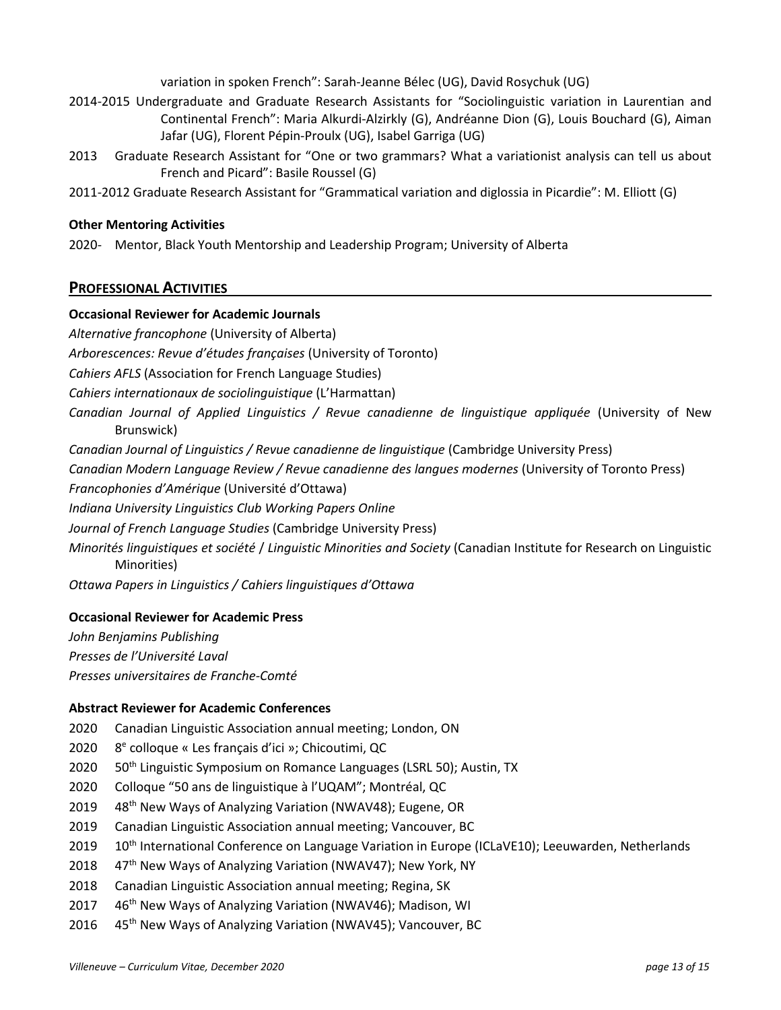variation in spoken French": Sarah-Jeanne Bélec (UG), David Rosychuk (UG)

- 2014-2015 Undergraduate and Graduate Research Assistants for "Sociolinguistic variation in Laurentian and Continental French": Maria Alkurdi-Alzirkly (G), Andréanne Dion (G), Louis Bouchard (G), Aiman Jafar (UG), Florent Pépin-Proulx (UG), Isabel Garriga (UG)
- 2013 Graduate Research Assistant for "One or two grammars? What a variationist analysis can tell us about French and Picard": Basile Roussel (G)
- 2011-2012 Graduate Research Assistant for "Grammatical variation and diglossia in Picardie": M. Elliott (G)

## **Other Mentoring Activities**

2020- Mentor, Black Youth Mentorship and Leadership Program; University of Alberta

## **PROFESSIONAL ACTIVITIES**

## **Occasional Reviewer for Academic Journals**

*Alternative francophone* (University of Alberta) *Arborescences: Revue d'études françaises* (University of Toronto) *Cahiers AFLS* (Association for French Language Studies) *Cahiers internationaux de sociolinguistique* (L'Harmattan) *Canadian Journal of Applied Linguistics / Revue canadienne de linguistique appliquée* (University of New Brunswick) *Canadian Journal of Linguistics / Revue canadienne de linguistique* (Cambridge University Press) *Canadian Modern Language Review / Revue canadienne des langues modernes* (University of Toronto Press) *Francophonies d'Amérique* (Université d'Ottawa) *Indiana University Linguistics Club Working Papers Online Journal of French Language Studies* (Cambridge University Press) *Minorités linguistiques et société* / *Linguistic Minorities and Society* (Canadian Institute for Research on Linguistic Minorities) *Ottawa Papers in Linguistics / Cahiers linguistiques d'Ottawa*

## **Occasional Reviewer for Academic Press**

*John Benjamins Publishing Presses de l'Université Laval Presses universitaires de Franche-Comté*

## **Abstract Reviewer for Academic Conferences**

- 2020 Canadian Linguistic Association annual meeting; London, ON
- 2020 e colloque « Les français d'ici »; Chicoutimi, QC
- 2020 50<sup>th</sup> Linguistic Symposium on Romance Languages (LSRL 50); Austin, TX
- 2020 Colloque "50 ans de linguistique à l'UQAM"; Montréal, QC
- 2019 48<sup>th</sup> New Ways of Analyzing Variation (NWAV48); Eugene, OR
- 2019 Canadian Linguistic Association annual meeting; Vancouver, BC
- 2019 10<sup>th</sup> International Conference on Language Variation in Europe (ICLaVE10); Leeuwarden, Netherlands
- 2018 47<sup>th</sup> New Ways of Analyzing Variation (NWAV47); New York, NY
- 2018 Canadian Linguistic Association annual meeting; Regina, SK
- 2017 46<sup>th</sup> New Ways of Analyzing Variation (NWAV46); Madison, WI
- 2016 45<sup>th</sup> New Ways of Analyzing Variation (NWAV45); Vancouver, BC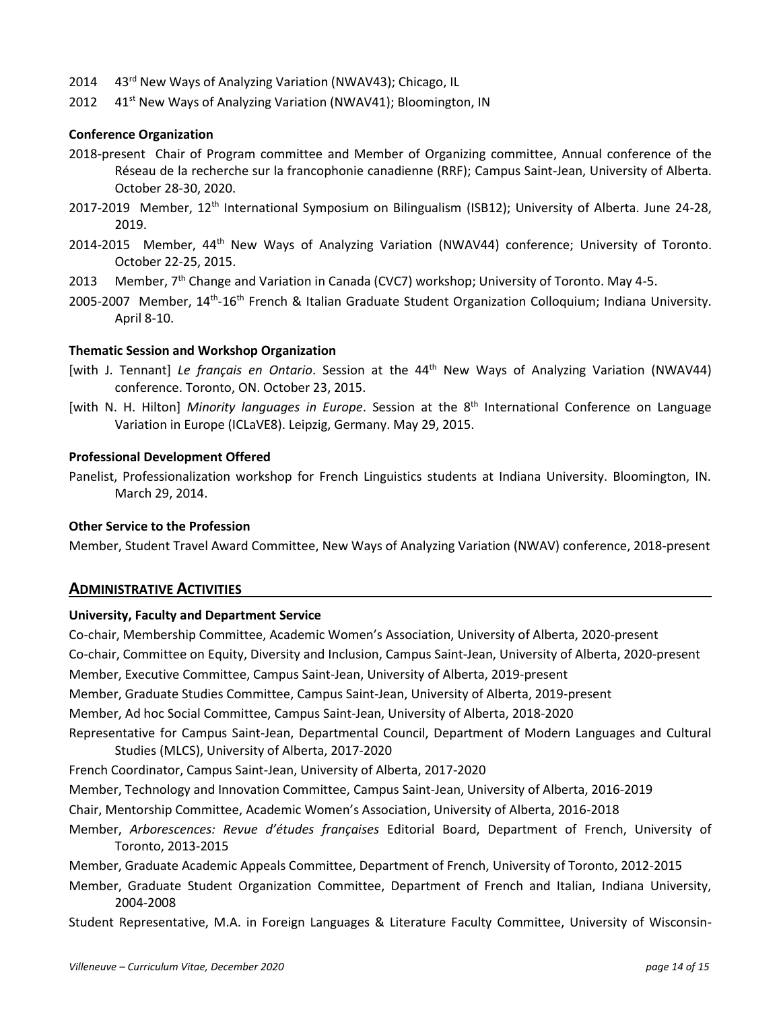- 2014 43<sup>rd</sup> New Ways of Analyzing Variation (NWAV43); Chicago, IL
- 2012 41<sup>st</sup> New Ways of Analyzing Variation (NWAV41); Bloomington, IN

#### **Conference Organization**

- 2018-present Chair of Program committee and Member of Organizing committee, Annual conference of the Réseau de la recherche sur la francophonie canadienne (RRF); Campus Saint-Jean, University of Alberta. October 28-30, 2020.
- 2017-2019 Member, 12<sup>th</sup> International Symposium on Bilingualism (ISB12); University of Alberta. June 24-28, 2019.
- 2014-2015 Member, 44<sup>th</sup> New Ways of Analyzing Variation (NWAV44) conference; University of Toronto. October 22-25, 2015.
- 2013 Member, 7<sup>th</sup> Change and Variation in Canada (CVC7) workshop; University of Toronto. May 4-5.
- 2005-2007 Member, 14<sup>th</sup>-16<sup>th</sup> French & Italian Graduate Student Organization Colloquium; Indiana University. April 8-10.

#### **Thematic Session and Workshop Organization**

- [with J. Tennant] *Le français en Ontario*. Session at the 44th New Ways of Analyzing Variation (NWAV44) conference. Toronto, ON. October 23, 2015.
- [with N. H. Hilton] *Minority languages in Europe*. Session at the 8<sup>th</sup> International Conference on Language Variation in Europe (ICLaVE8). Leipzig, Germany. May 29, 2015.

#### **Professional Development Offered**

Panelist, Professionalization workshop for French Linguistics students at Indiana University. Bloomington, IN. March 29, 2014.

## **Other Service to the Profession**

Member, Student Travel Award Committee, New Ways of Analyzing Variation (NWAV) conference, 2018-present

### **ADMINISTRATIVE ACTIVITIES**

#### **University, Faculty and Department Service**

Co-chair, Membership Committee, Academic Women's Association, University of Alberta, 2020-present Co-chair, Committee on Equity, Diversity and Inclusion, Campus Saint-Jean, University of Alberta, 2020-present Member, Executive Committee, Campus Saint-Jean, University of Alberta, 2019-present Member, Graduate Studies Committee, Campus Saint-Jean, University of Alberta, 2019-present Member, Ad hoc Social Committee, Campus Saint-Jean, University of Alberta, 2018-2020 Representative for Campus Saint-Jean, Departmental Council, Department of Modern Languages and Cultural Studies (MLCS), University of Alberta, 2017-2020 French Coordinator, Campus Saint-Jean, University of Alberta, 2017-2020 Member, Technology and Innovation Committee, Campus Saint-Jean, University of Alberta, 2016-2019 Chair, Mentorship Committee, Academic Women's Association, University of Alberta, 2016-2018

Member, *Arborescences: Revue d'études françaises* Editorial Board, Department of French, University of Toronto, 2013-2015

Member, Graduate Academic Appeals Committee, Department of French, University of Toronto, 2012-2015

Member, Graduate Student Organization Committee, Department of French and Italian, Indiana University, 2004-2008

Student Representative, M.A. in Foreign Languages & Literature Faculty Committee, University of Wisconsin-